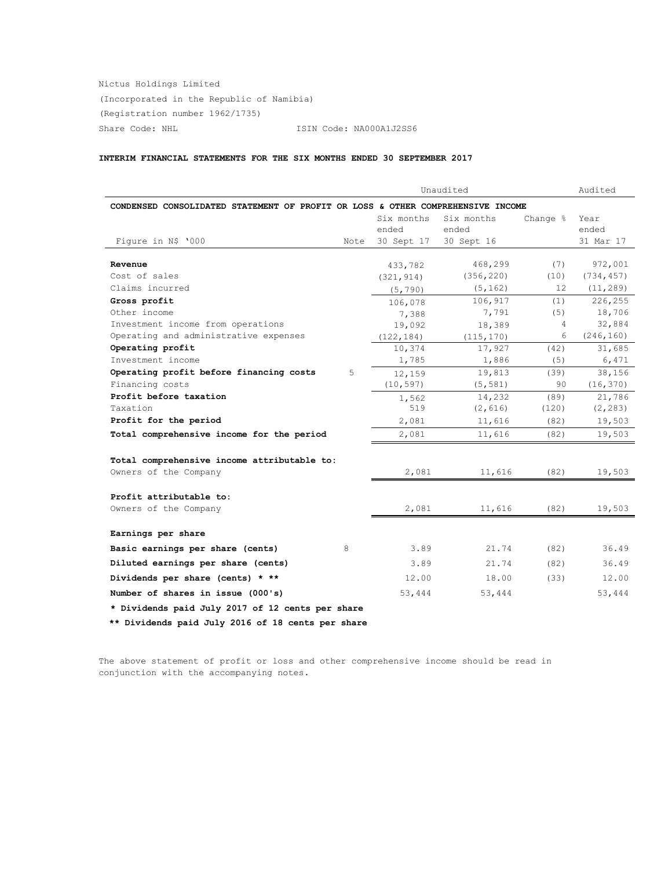Nictus Holdings Limited (Incorporated in the Republic of Namibia) (Registration number 1962/1735) Share Code: NHL ISIN Code: NA000A1J2SS6

## **INTERIM FINANCIAL STATEMENTS FOR THE SIX MONTHS ENDED 30 SEPTEMBER 2017**

| Unaudited                                                                       |      |            |            | Audited  |            |
|---------------------------------------------------------------------------------|------|------------|------------|----------|------------|
| CONDENSED CONSOLIDATED STATEMENT OF PROFIT OR LOSS & OTHER COMPREHENSIVE INCOME |      |            |            |          |            |
|                                                                                 |      | Six months | Six months | Change % | Year       |
|                                                                                 |      | ended      | ended      |          | ended      |
| Figure in N\$ '000                                                              | Note | 30 Sept 17 | 30 Sept 16 |          | 31 Mar 17  |
|                                                                                 |      |            |            |          |            |
| Revenue                                                                         |      | 433,782    | 468,299    | (7)      | 972,001    |
| Cost of sales                                                                   |      | (321, 914) | (356, 220) | (10)     | (734, 457) |
| Claims incurred                                                                 |      | (5, 790)   | (5, 162)   | 12.      | (11, 289)  |
| Gross profit                                                                    |      | 106,078    | 106,917    | (1)      | 226,255    |
| Other income                                                                    |      | 7,388      | 7,791      | (5)      | 18,706     |
| Investment income from operations                                               |      | 19,092     | 18,389     | 4        | 32,884     |
| Operating and administrative expenses                                           |      | (122, 184) | (115, 170) | 6        | (246, 160) |
| Operating profit                                                                |      | 10,374     | 17,927     | (42)     | 31,685     |
| Investment income                                                               |      | 1,785      | 1,886      | (5)      | 6,471      |
| Operating profit before financing costs                                         | 5    | 12,159     | 19,813     | (39)     | 38,156     |
| Financing costs                                                                 |      | (10, 597)  | (5, 581)   | 90       | (16, 370)  |
| Profit before taxation                                                          |      | 1,562      | 14,232     | (89)     | 21,786     |
| Taxation                                                                        |      | 519        | (2, 616)   | (120)    | (2, 283)   |
| Profit for the period                                                           |      | 2,081      | 11,616     | (82)     | 19,503     |
| Total comprehensive income for the period                                       |      | 2,081      | 11,616     | (82)     | 19,503     |
|                                                                                 |      |            |            |          |            |
| Total comprehensive income attributable to:                                     |      |            |            |          |            |
| Owners of the Company                                                           |      | 2,081      | 11,616     | (82)     | 19,503     |
| Profit attributable to:                                                         |      |            |            |          |            |
| Owners of the Company                                                           |      | 2,081      | 11,616     | (82)     | 19,503     |
| Earnings per share                                                              |      |            |            |          |            |
|                                                                                 |      |            |            |          |            |
| Basic earnings per share (cents)<br>8                                           |      | 3.89       | 21.74      | (82)     | 36.49      |
| Diluted earnings per share (cents)                                              |      | 3.89       | 21.74      | (82)     | 36.49      |
| Dividends per share (cents) * **                                                |      | 12.00      | 18.00      | (33)     | 12.00      |
| Number of shares in issue (000's)                                               |      | 53,444     | 53,444     |          | 53,444     |
| * Dividends paid July 2017 of 12 cents per share                                |      |            |            |          |            |
| ** Dividends paid July 2016 of 18 cents per share                               |      |            |            |          |            |

The above statement of profit or loss and other comprehensive income should be read in conjunction with the accompanying notes.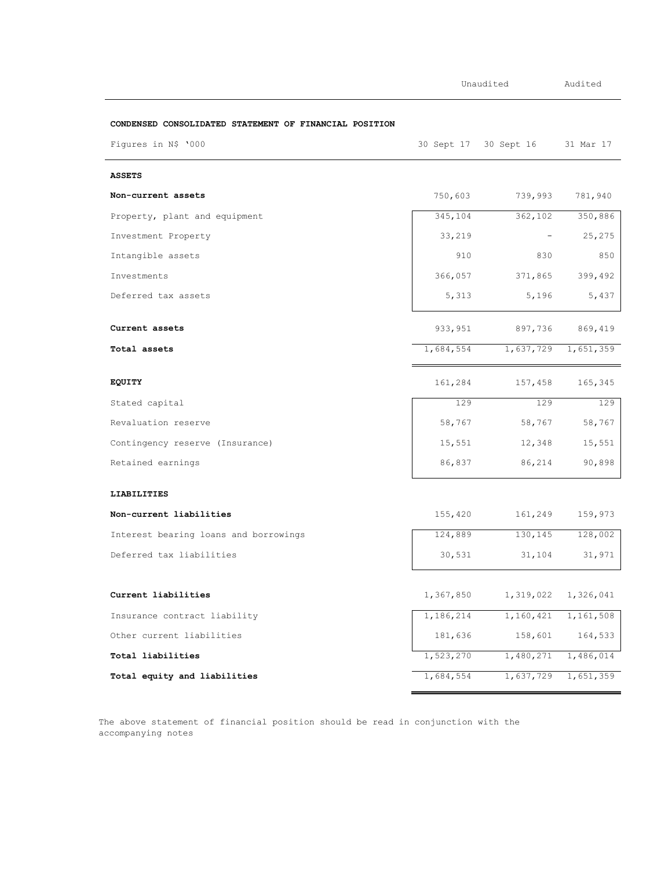|                                                        | Unaudited |                          | Audited             |  |
|--------------------------------------------------------|-----------|--------------------------|---------------------|--|
| CONDENSED CONSOLIDATED STATEMENT OF FINANCIAL POSITION |           |                          |                     |  |
| Figures in N\$ '000                                    |           | 30 Sept 17 30 Sept 16    | 31 Mar 17           |  |
| <b>ASSETS</b>                                          |           |                          |                     |  |
| Non-current assets                                     | 750,603   | 739,993                  | 781,940             |  |
| Property, plant and equipment                          | 345,104   | 362, 102                 | 350,886             |  |
| Investment Property                                    | 33,219    | $\overline{\phantom{a}}$ | 25,275              |  |
| Intangible assets                                      | 910       | 830                      | 850                 |  |
| Investments                                            | 366,057   | 371,865                  | 399,492             |  |
| Deferred tax assets                                    | 5,313     | 5,196                    | 5,437               |  |
| Current assets                                         | 933,951   | 897,736                  | 869,419             |  |
| Total assets                                           | 1,684,554 |                          | 1,637,729 1,651,359 |  |
| EQUITY                                                 | 161,284   | 157,458                  | 165,345             |  |
| Stated capital                                         | 129       | 129                      | 129                 |  |
| Revaluation reserve                                    | 58,767    | 58,767                   | 58,767              |  |
| Contingency reserve (Insurance)                        | 15,551    | 12,348                   | 15,551              |  |
| Retained earnings                                      | 86,837    | 86,214                   | 90,898              |  |
| LIABILITIES                                            |           |                          |                     |  |
| Non-current liabilities                                | 155,420   | 161,249                  | 159,973             |  |
| Interest bearing loans and borrowings                  | 124,889   | 130,145                  | 128,002             |  |
| Deferred tax liabilities                               | 30,531    | 31,104                   | 31,971              |  |
| Current liabilities                                    | 1,367,850 | 1,319,022                | 1,326,041           |  |
| Insurance contract liability                           | 1,186,214 | 1,160,421                | 1,161,508           |  |
| Other current liabilities                              | 181,636   | 158,601                  | 164,533             |  |
| Total liabilities                                      | 1,523,270 | 1,480,271                | 1,486,014           |  |
| Total equity and liabilities                           | 1,684,554 | 1,637,729                | 1,651,359           |  |

The above statement of financial position should be read in conjunction with the accompanying notes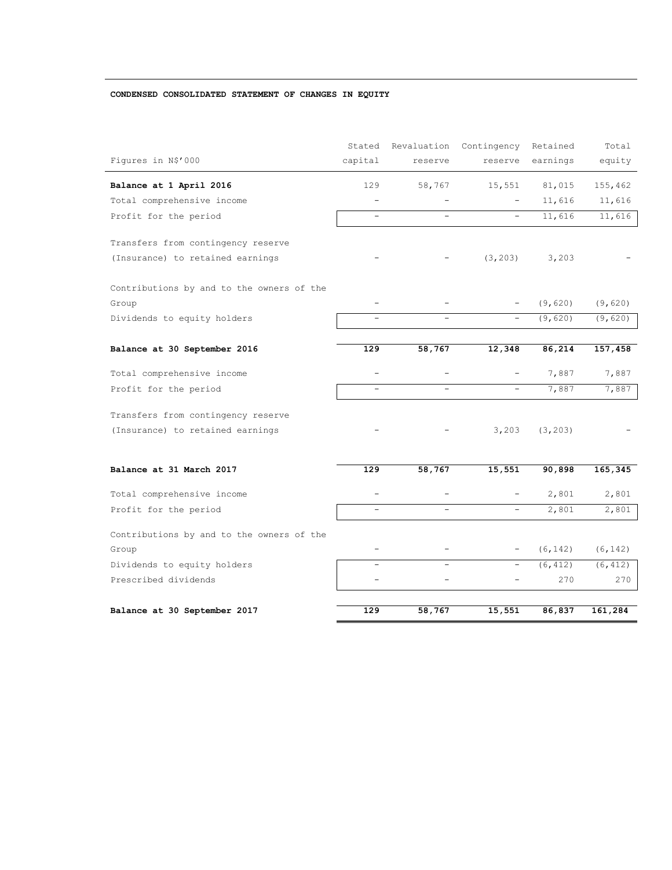## **CONDENSED CONSOLIDATED STATEMENT OF CHANGES IN EQUITY**

|                                           | Stated                   | Revaluation              | Contingency              | Retained | Total    |
|-------------------------------------------|--------------------------|--------------------------|--------------------------|----------|----------|
| Figures in N\$'000                        | capital                  | reserve                  | reserve                  | earnings | equity   |
| Balance at 1 April 2016                   | 129                      | 58,767                   | 15,551                   | 81,015   | 155,462  |
| Total comprehensive income                | $\equiv$                 |                          |                          | 11,616   | 11,616   |
| Profit for the period                     | $\equiv$                 | $\overline{\phantom{0}}$ |                          | 11,616   | 11,616   |
| Transfers from contingency reserve        |                          |                          |                          |          |          |
| (Insurance) to retained earnings          |                          |                          | (3, 203)                 | 3,203    |          |
| Contributions by and to the owners of the |                          |                          |                          |          |          |
| Group                                     |                          |                          |                          | (9,620)  | (9,620)  |
| Dividends to equity holders               |                          |                          |                          | (9,620)  | (9,620)  |
|                                           |                          |                          |                          |          |          |
| Balance at 30 September 2016              | 129                      | 58,767                   | 12,348                   | 86,214   | 157,458  |
| Total comprehensive income                | L.                       |                          |                          | 7,887    | 7,887    |
| Profit for the period                     | $\equiv$                 | $\equiv$                 | $\equiv$                 | 7,887    | 7,887    |
| Transfers from contingency reserve        |                          |                          |                          |          |          |
| (Insurance) to retained earnings          |                          |                          | 3,203                    | (3, 203) |          |
|                                           |                          |                          |                          |          |          |
| Balance at 31 March 2017                  | 129                      | 58,767                   | 15,551                   | 90,898   | 165,345  |
| Total comprehensive income                | $\overline{\phantom{0}}$ |                          |                          | 2,801    | 2,801    |
| Profit for the period                     | $\overline{\phantom{a}}$ | $\overline{\phantom{0}}$ |                          | 2,801    | 2,801    |
| Contributions by and to the owners of the |                          |                          |                          |          |          |
| Group                                     | $\overline{\phantom{0}}$ | $\qquad \qquad -$        | $\overline{\phantom{0}}$ | (6, 142) | (6, 142) |
| Dividends to equity holders               |                          |                          |                          | (6, 412) | (6, 412) |
| Prescribed dividends                      |                          | ÷                        |                          | 270      | 270      |
| Balance at 30 September 2017              | 129                      | 58,767                   | 15,551                   | 86,837   | 161,284  |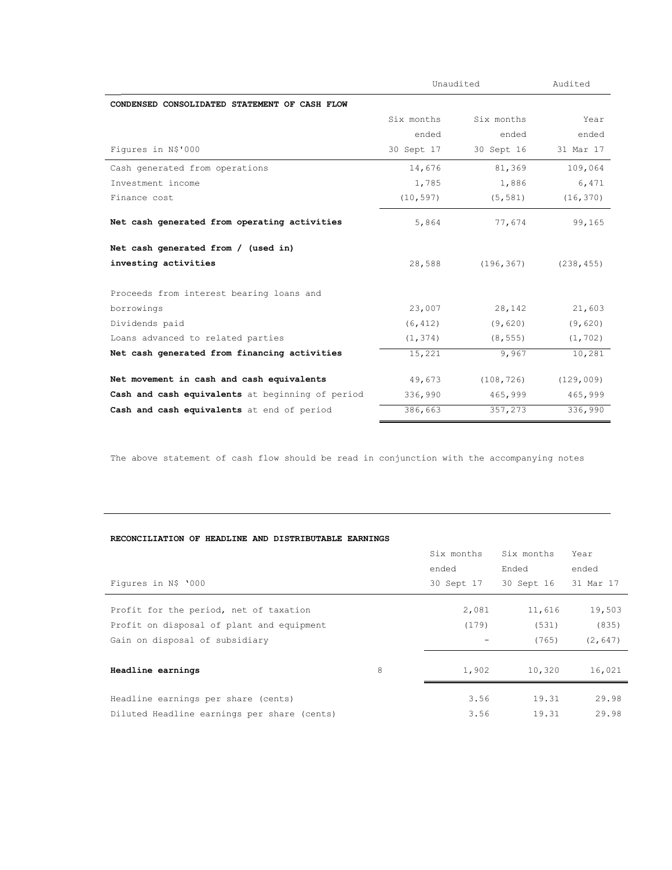|                                                  | Unaudited  | Audited    |            |
|--------------------------------------------------|------------|------------|------------|
| CONDENSED CONSOLIDATED STATEMENT OF CASH FLOW    |            |            |            |
|                                                  | Six months | Six months | Year       |
|                                                  | ended      | ended      | ended      |
| Figures in N\$'000                               | 30 Sept 17 | 30 Sept 16 | 31 Mar 17  |
| Cash generated from operations                   | 14,676     | 81,369     | 109,064    |
| Investment income                                | 1,785      | 1,886      | 6,471      |
| Finance cost                                     | (10, 597)  | (5, 581)   | (16, 370)  |
| Net cash generated from operating activities     | 5,864      | 77,674     | 99,165     |
| Net cash generated from / (used in)              |            |            |            |
| investing activities                             | 28,588     | (196, 367) | (238, 455) |
| Proceeds from interest bearing loans and         |            |            |            |
| borrowings                                       | 23,007     | 28,142     | 21,603     |
| Dividends paid                                   | (6, 412)   | (9,620)    | (9,620)    |
| Loans advanced to related parties                | (1, 374)   | (8, 555)   | (1, 702)   |
| Net cash generated from financing activities     | 15,221     | 9,967      | 10,281     |
| Net movement in cash and cash equivalents        | 49,673     | (108, 726) | (129, 009) |
| Cash and cash equivalents at beginning of period | 336,990    | 465,999    | 465,999    |
| Cash and cash equivalents at end of period       | 386,663    | 357,273    | 336,990    |

The above statement of cash flow should be read in conjunction with the accompanying notes

# **RECONCILIATION OF HEADLINE AND DISTRIBUTABLE EARNINGS**

|                                             |   | Six months | Six months | Year      |
|---------------------------------------------|---|------------|------------|-----------|
|                                             |   | ended      | Ended      | ended     |
| Figures in N\$ '000                         |   | 30 Sept 17 | 30 Sept 16 | 31 Mar 17 |
| Profit for the period, net of taxation      |   | 2,081      | 11,616     | 19,503    |
| Profit on disposal of plant and equipment   |   | (179)      | (531)      | (835)     |
| Gain on disposal of subsidiary              |   |            | (765)      | (2, 647)  |
| Headline earnings                           | 8 | 1,902      | 10,320     | 16,021    |
| Headline earnings per share (cents)         |   | 3.56       | 19.31      | 29.98     |
| Diluted Headline earnings per share (cents) |   | 3.56       | 19.31      | 29.98     |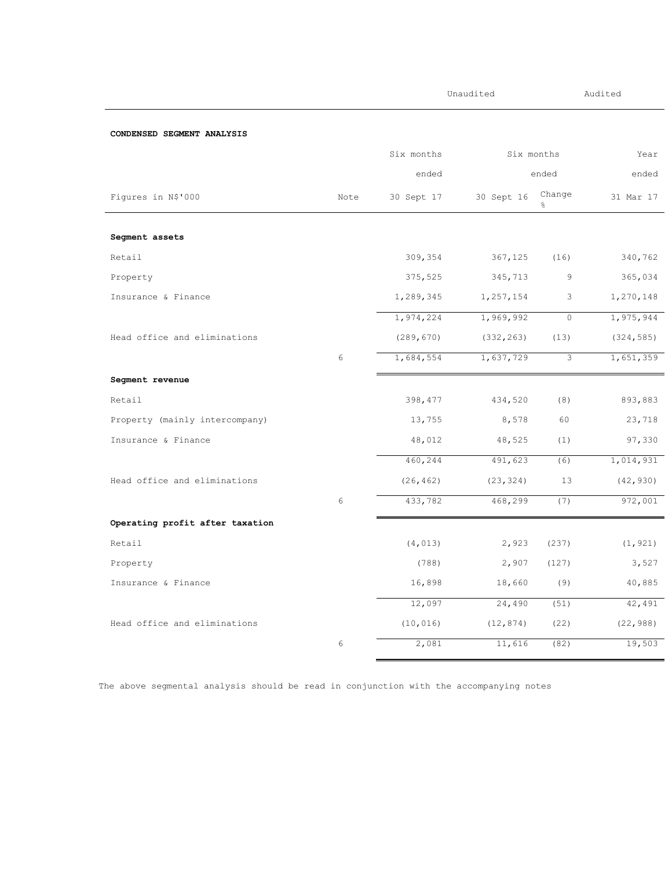|                                 |            | Unaudited  |            | Audited     |            |
|---------------------------------|------------|------------|------------|-------------|------------|
| CONDENSED SEGMENT ANALYSIS      |            |            |            |             |            |
|                                 |            | Six months |            | Six months  | Year       |
|                                 |            | ended      |            | ended       | ended      |
| Figures in N\$'000              | Note       | 30 Sept 17 | 30 Sept 16 | Change<br>응 | 31 Mar 17  |
| Segment assets                  |            |            |            |             |            |
| Retail                          |            | 309,354    | 367,125    | (16)        | 340,762    |
| Property                        |            | 375,525    | 345,713    | 9           | 365,034    |
| Insurance & Finance             |            | 1,289,345  | 1,257,154  | 3           | 1,270,148  |
|                                 |            | 1,974,224  | 1,969,992  | $\circ$     | 1,975,944  |
| Head office and eliminations    |            | (289, 670) | (332, 263) | (13)        | (324, 585) |
|                                 | $\epsilon$ | 1,684,554  | 1,637,729  | 3           | 1,651,359  |
| Segment revenue                 |            |            |            |             |            |
| Retail                          |            | 398, 477   | 434,520    | (8)         | 893,883    |
| Property (mainly intercompany)  |            | 13,755     | 8,578      | 60          | 23,718     |
| Insurance & Finance             |            | 48,012     | 48,525     | (1)         | 97,330     |
|                                 |            | 460,244    | 491,623    | (6)         | 1,014,931  |
| Head office and eliminations    |            | (26, 462)  | (23, 324)  | 13          | (42, 930)  |
|                                 | 6          | 433,782    | 468,299    | (7)         | 972,001    |
| Operating profit after taxation |            |            |            |             |            |
| Retail                          |            | (4, 013)   | 2,923      | (237)       | (1, 921)   |
| Property                        |            | (788)      | 2,907      | (127)       | 3,527      |
| Insurance & Finance             |            | 16,898     | 18,660     | (9)         | 40,885     |
|                                 |            | 12,097     | 24,490     | (51)        | 42,491     |
| Head office and eliminations    |            | (10, 016)  | (12, 874)  | (22)        | (22, 988)  |
|                                 | 6          | 2,081      | 11,616     | (82)        | 19,503     |

The above segmental analysis should be read in conjunction with the accompanying notes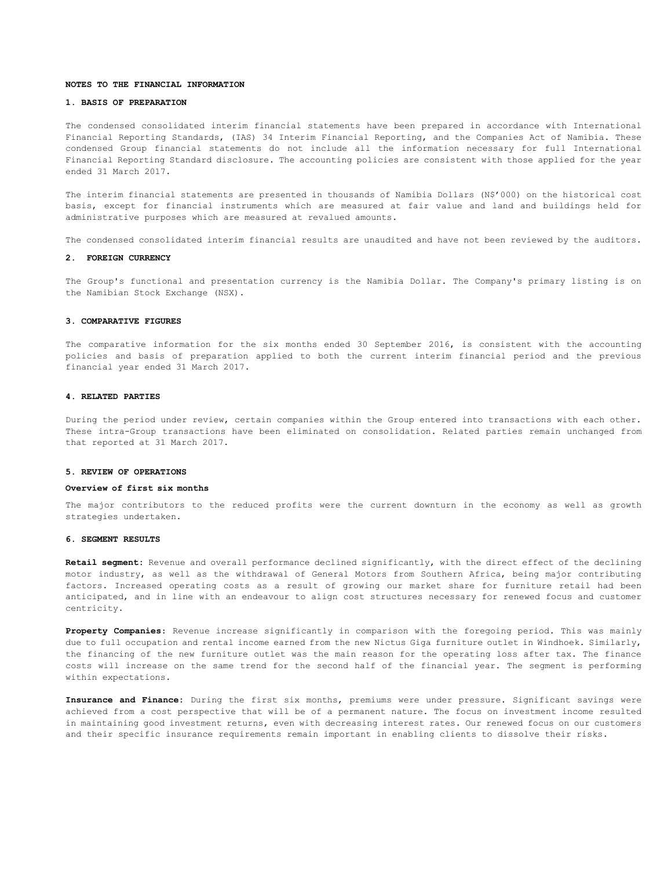#### **NOTES TO THE FINANCIAL INFORMATION**

#### **1. BASIS OF PREPARATION**

The condensed consolidated interim financial statements have been prepared in accordance with International Financial Reporting Standards, (IAS) 34 Interim Financial Reporting, and the Companies Act of Namibia. These condensed Group financial statements do not include all the information necessary for full International Financial Reporting Standard disclosure. The accounting policies are consistent with those applied for the year ended 31 March 2017.

The interim financial statements are presented in thousands of Namibia Dollars (N\$'000) on the historical cost basis, except for financial instruments which are measured at fair value and land and buildings held for administrative purposes which are measured at revalued amounts.

The condensed consolidated interim financial results are unaudited and have not been reviewed by the auditors.

### **2. FOREIGN CURRENCY**

The Group's functional and presentation currency is the Namibia Dollar. The Company's primary listing is on the Namibian Stock Exchange (NSX).

#### **3. COMPARATIVE FIGURES**

The comparative information for the six months ended 30 September 2016, is consistent with the accounting policies and basis of preparation applied to both the current interim financial period and the previous financial year ended 31 March 2017.

#### **4. RELATED PARTIES**

During the period under review, certain companies within the Group entered into transactions with each other. These intra-Group transactions have been eliminated on consolidation. Related parties remain unchanged from that reported at 31 March 2017.

### **5. REVIEW OF OPERATIONS**

### **Overview of first six months**

The major contributors to the reduced profits were the current downturn in the economy as well as growth strategies undertaken.

### **6. SEGMENT RESULTS**

**Retail segment:** Revenue and overall performance declined significantly, with the direct effect of the declining motor industry, as well as the withdrawal of General Motors from Southern Africa, being major contributing factors. Increased operating costs as a result of growing our market share for furniture retail had been anticipated, and in line with an endeavour to align cost structures necessary for renewed focus and customer centricity.

**Property Companies**: Revenue increase significantly in comparison with the foregoing period. This was mainly due to full occupation and rental income earned from the new Nictus Giga furniture outlet in Windhoek. Similarly, the financing of the new furniture outlet was the main reason for the operating loss after tax. The finance costs will increase on the same trend for the second half of the financial year. The segment is performing within expectations.

**Insurance and Finance:** During the first six months, premiums were under pressure. Significant savings were achieved from a cost perspective that will be of a permanent nature. The focus on investment income resulted in maintaining good investment returns, even with decreasing interest rates. Our renewed focus on our customers and their specific insurance requirements remain important in enabling clients to dissolve their risks.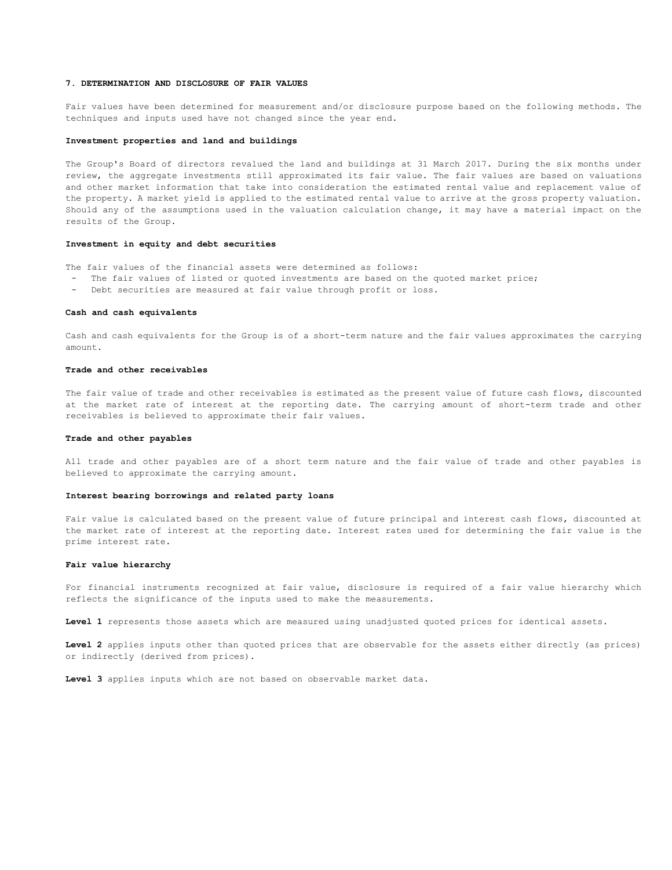#### **7. DETERMINATION AND DISCLOSURE OF FAIR VALUES**

Fair values have been determined for measurement and/or disclosure purpose based on the following methods. The techniques and inputs used have not changed since the year end.

#### **Investment properties and land and buildings**

The Group's Board of directors revalued the land and buildings at 31 March 2017. During the six months under review, the aggregate investments still approximated its fair value. The fair values are based on valuations and other market information that take into consideration the estimated rental value and replacement value of the property. A market yield is applied to the estimated rental value to arrive at the gross property valuation. Should any of the assumptions used in the valuation calculation change, it may have a material impact on the results of the Group.

#### **Investment in equity and debt securities**

The fair values of the financial assets were determined as follows:

- The fair values of listed or quoted investments are based on the quoted market price;
- Debt securities are measured at fair value through profit or loss.

### **Cash and cash equivalents**

Cash and cash equivalents for the Group is of a short-term nature and the fair values approximates the carrying amount.

#### **Trade and other receivables**

The fair value of trade and other receivables is estimated as the present value of future cash flows, discounted at the market rate of interest at the reporting date. The carrying amount of short-term trade and other receivables is believed to approximate their fair values.

#### **Trade and other payables**

All trade and other payables are of a short term nature and the fair value of trade and other payables is believed to approximate the carrying amount.

### **Interest bearing borrowings and related party loans**

Fair value is calculated based on the present value of future principal and interest cash flows, discounted at the market rate of interest at the reporting date. Interest rates used for determining the fair value is the prime interest rate.

#### **Fair value hierarchy**

For financial instruments recognized at fair value, disclosure is required of a fair value hierarchy which reflects the significance of the inputs used to make the measurements.

**Level 1** represents those assets which are measured using unadjusted quoted prices for identical assets.

**Level 2** applies inputs other than quoted prices that are observable for the assets either directly (as prices) or indirectly (derived from prices).

**Level 3** applies inputs which are not based on observable market data.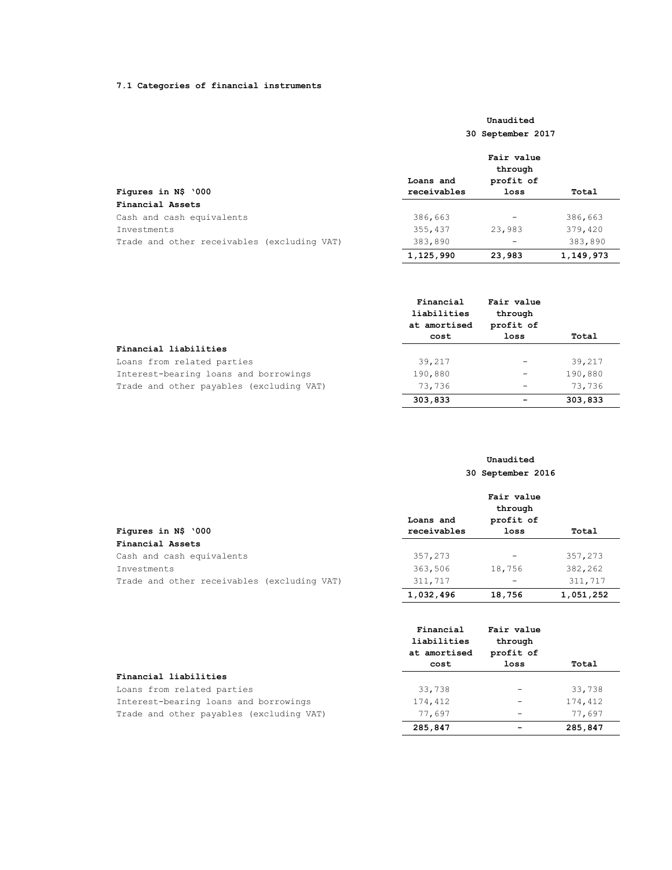## **7.1 Categories of financial instruments**

# **Unaudited 30 September 2017**

|                                             | Fair value<br>through |           |           |  |
|---------------------------------------------|-----------------------|-----------|-----------|--|
|                                             | Loans and             | profit of |           |  |
| Figures in N\$ '000                         | receivables           | loss      | Total     |  |
| Financial Assets                            |                       |           |           |  |
| Cash and cash equivalents                   | 386,663               |           | 386,663   |  |
| Investments                                 | 355,437               | 23,983    | 379,420   |  |
| Trade and other receivables (excluding VAT) | 383,890               |           | 383,890   |  |
|                                             | 1,125,990             | 23,983    | 1,149,973 |  |

|                                          | Financial<br>liabilities<br>at amortised | Fair value<br>through<br>profit of |         |
|------------------------------------------|------------------------------------------|------------------------------------|---------|
|                                          | cost                                     | loss                               | Total   |
| Financial liabilities                    |                                          |                                    |         |
| Loans from related parties               | 39,217                                   |                                    | 39,217  |
| Interest-bearing loans and borrowings    | 190,880                                  | $\overline{\phantom{m}}$           | 190,880 |
| Trade and other payables (excluding VAT) | 73,736                                   | $\qquad \qquad -$                  | 73,736  |
|                                          | 303,833                                  | $\overline{\phantom{0}}$           | 303,833 |

# **Unaudited 30 September 2016**

|                                             | Fair value<br>through |                 |           |
|---------------------------------------------|-----------------------|-----------------|-----------|
|                                             | Loans and             | profit of       |           |
| Figures in N\$ '000                         | receivables           | loss            | Total     |
| Financial Assets                            |                       |                 |           |
| Cash and cash equivalents                   | 357,273               | $\qquad \qquad$ | 357,273   |
| Investments                                 | 363,506               | 18,756          | 382,262   |
| Trade and other receivables (excluding VAT) | 311,717               | -               | 311,717   |
|                                             | 1,032,496             | 18,756          | 1,051,252 |

|                                          | Financial<br>liabilities<br>at amortised | Fair value<br>through<br>profit of |         |
|------------------------------------------|------------------------------------------|------------------------------------|---------|
|                                          | cost                                     | loss                               | Total   |
| Financial liabilities                    |                                          |                                    |         |
| Loans from related parties               | 33,738                                   |                                    | 33,738  |
| Interest-bearing loans and borrowings    | 174,412                                  |                                    | 174,412 |
| Trade and other payables (excluding VAT) | 77,697                                   |                                    | 77,697  |
|                                          | 285,847                                  |                                    | 285,847 |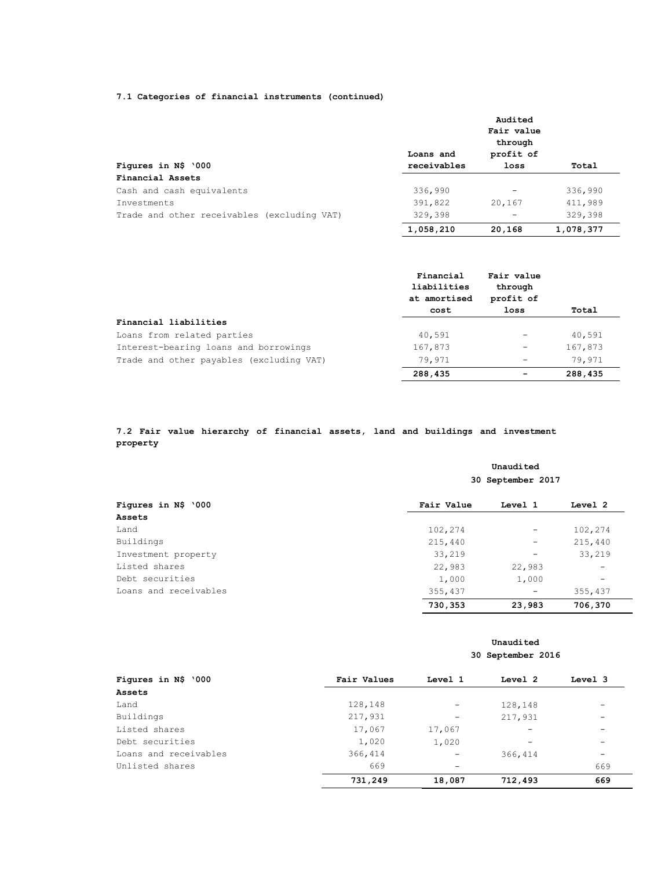# **7.1 Categories of financial instruments (continued)**

|                                             |             | Audited<br>Fair value |           |
|---------------------------------------------|-------------|-----------------------|-----------|
|                                             |             | through               |           |
|                                             | Loans and   | profit of             |           |
| Figures in N\$ '000                         | receivables | loss                  | Total     |
| Financial Assets                            |             |                       |           |
| Cash and cash equivalents                   | 336,990     |                       | 336,990   |
| <b>Tnvestments</b>                          | 391,822     | 20,167                | 411,989   |
| Trade and other receivables (excluding VAT) | 329,398     |                       | 329,398   |
|                                             | 1,058,210   | 20,168                | 1,078,377 |

|                                          | Financial<br>liabilities<br>at amortised<br>cost | Fair value<br>through<br>profit of<br>loss | Total   |
|------------------------------------------|--------------------------------------------------|--------------------------------------------|---------|
| Financial liabilities                    |                                                  |                                            |         |
| Loans from related parties               | 40,591                                           | $\qquad \qquad -$                          | 40,591  |
| Interest-bearing loans and borrowings    | 167,873                                          | $\overline{\phantom{m}}$                   | 167,873 |
| Trade and other payables (excluding VAT) | 79,971                                           |                                            | 79,971  |
|                                          | 288,435                                          |                                            | 288,435 |

## **7.2 Fair value hierarchy of financial assets, land and buildings and investment property**

|                       | Unaudited<br>30 September 2017 |                          |                 |  |
|-----------------------|--------------------------------|--------------------------|-----------------|--|
| Figures in N\$ '000   | Fair Value                     | Level 1                  | Level 2         |  |
| Assets                |                                |                          |                 |  |
| Land                  | 102,274                        | $\overline{\phantom{0}}$ | 102,274         |  |
| Buildings             | 215,440                        | -                        | 215,440         |  |
| Investment property   | 33,219                         |                          | 33,219          |  |
| Listed shares         | 22,983                         | 22,983                   |                 |  |
| Debt securities       | 1,000                          | 1,000                    | $\qquad \qquad$ |  |
| Loans and receivables | 355,437                        | -                        | 355,437         |  |
|                       | 730,353                        | 23,983                   | 706,370         |  |

## **Unaudited 30 September 2016**

| Figures in N\$ '000   | Fair Values | Level 1                  | Level 2 | Level 3                  |
|-----------------------|-------------|--------------------------|---------|--------------------------|
| Assets                |             |                          |         |                          |
| Land                  | 128,148     | -                        | 128,148 | -                        |
| Buildings             | 217,931     | -                        | 217,931 | $\overline{\phantom{0}}$ |
| Listed shares         | 17,067      | 17,067                   |         | $\overline{\phantom{0}}$ |
| Debt securities       | 1,020       | 1,020                    |         | $\overline{\phantom{0}}$ |
| Loans and receivables | 366,414     | -                        | 366,414 | $\overline{\phantom{0}}$ |
| Unlisted shares       | 669         | $\overline{\phantom{0}}$ |         | 669                      |
|                       | 731,249     | 18,087                   | 712,493 | 669                      |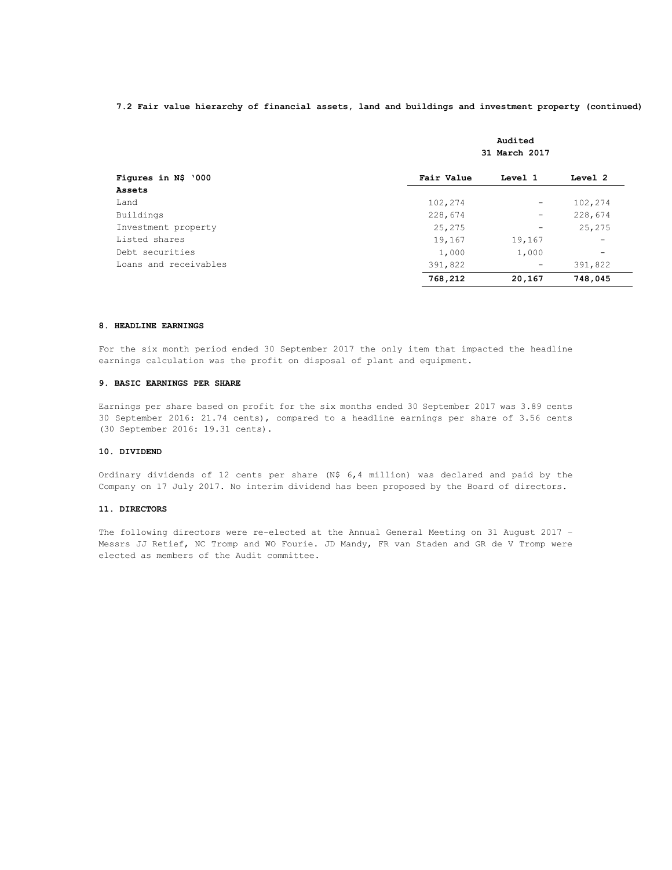## **7.2 Fair value hierarchy of financial assets, land and buildings and investment property (continued)**

|                       | Audited<br>31 March 2017 |                          |                          |  |
|-----------------------|--------------------------|--------------------------|--------------------------|--|
| Figures in N\$ '000   | Fair Value               | Level 1                  | Level 2                  |  |
| Assets                |                          |                          |                          |  |
| Land                  | 102,274                  | $\overline{\phantom{m}}$ | 102,274                  |  |
| Buildings             | 228,674                  | $\qquad \qquad -$        | 228,674                  |  |
| Investment property   | 25,275                   | -                        | 25,275                   |  |
| Listed shares         | 19,167                   | 19,167                   | $\overline{\phantom{m}}$ |  |
| Debt securities       | 1,000                    | 1,000                    | $\overline{\phantom{m}}$ |  |
| Loans and receivables | 391,822                  | -                        | 391,822                  |  |
|                       | 768,212                  | 20,167                   | 748,045                  |  |

### **8. HEADLINE EARNINGS**

For the six month period ended 30 September 2017 the only item that impacted the headline earnings calculation was the profit on disposal of plant and equipment.

#### **9. BASIC EARNINGS PER SHARE**

Earnings per share based on profit for the six months ended 30 September 2017 was 3.89 cents 30 September 2016: 21.74 cents), compared to a headline earnings per share of 3.56 cents (30 September 2016: 19.31 cents).

## **10. DIVIDEND**

Ordinary dividends of 12 cents per share (N\$ 6,4 million) was declared and paid by the Company on 17 July 2017. No interim dividend has been proposed by the Board of directors.

## **11. DIRECTORS**

The following directors were re-elected at the Annual General Meeting on 31 August 2017 – Messrs JJ Retief, NC Tromp and WO Fourie. JD Mandy, FR van Staden and GR de V Tromp were elected as members of the Audit committee.